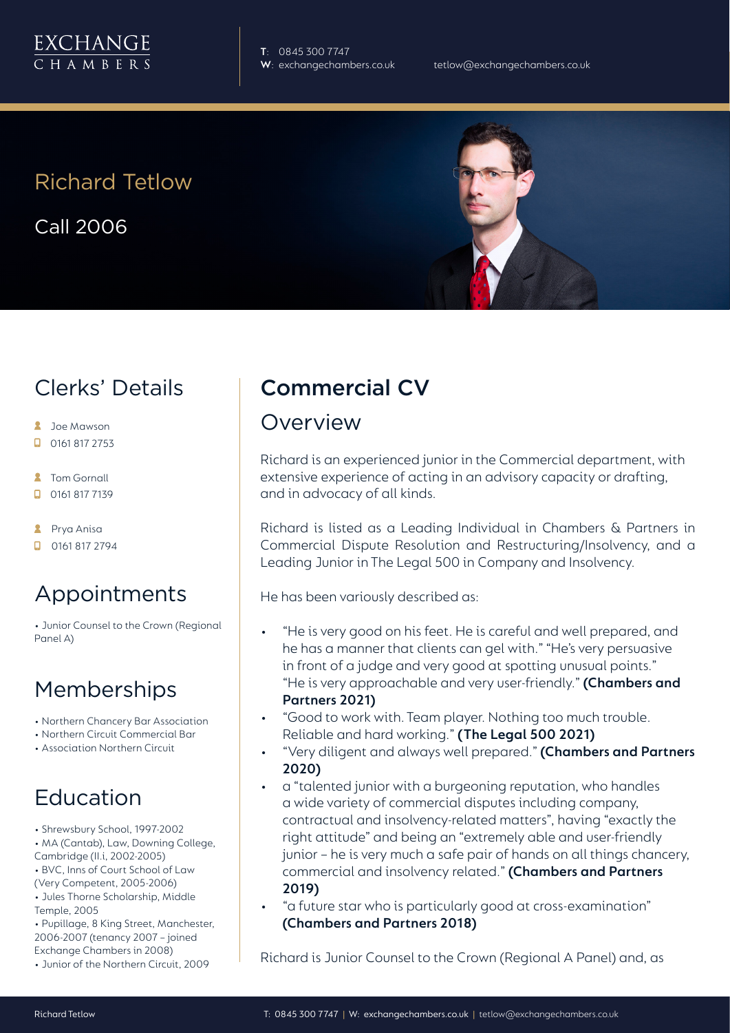

**T**: 0845 300 7747

# Richard Tetlow

Call 2006



# Clerks' Details

- **2** Joe Mawson
- $\Box$  0161 817 2753
- **2** Tom Gornall
- $\Box$  0161 817 7139
- **2** Prya Anisa
- $\Box$  0161 817 2794

# Appointments

• Junior Counsel to the Crown (Regional Panel A)

### **Memberships**

- Northern Chancery Bar Association
- Northern Circuit Commercial Bar
- Association Northern Circuit

# Education

- Shrewsbury School, 1997-2002
- MA (Cantab), Law, Downing College,
- Cambridge (II.i, 2002-2005)
- BVC, Inns of Court School of Law (Very Competent, 2005-2006)
- Jules Thorne Scholarship, Middle Temple, 2005
- Pupillage, 8 King Street, Manchester, 2006-2007 (tenancy 2007 – joined Exchange Chambers in 2008)
- Junior of the Northern Circuit, 2009

# Commercial CV

#### Overview

Richard is an experienced junior in the Commercial department, with extensive experience of acting in an advisory capacity or drafting, and in advocacy of all kinds.

Richard is listed as a Leading Individual in Chambers & Partners in Commercial Dispute Resolution and Restructuring/Insolvency, and a Leading Junior in The Legal 500 in Company and Insolvency.

He has been variously described as:

- "He is very good on his feet. He is careful and well prepared, and he has a manner that clients can gel with." "He's very persuasive in front of a judge and very good at spotting unusual points." "He is very approachable and very user-friendly." **(Chambers and Partners 2021)**
- "Good to work with. Team player. Nothing too much trouble. Reliable and hard working." **(The Legal 500 2021)**
- "Very diligent and always well prepared." **(Chambers and Partners 2020)**
- a "talented junior with a burgeoning reputation, who handles a wide variety of commercial disputes including company, contractual and insolvency-related matters", having "exactly the right attitude" and being an "extremely able and user-friendly junior – he is very much a safe pair of hands on all things chancery, commercial and insolvency related." **(Chambers and Partners 2019)**
- "a future star who is particularly good at cross-examination" **(Chambers and Partners 2018)**

Richard is Junior Counsel to the Crown (Regional A Panel) and, as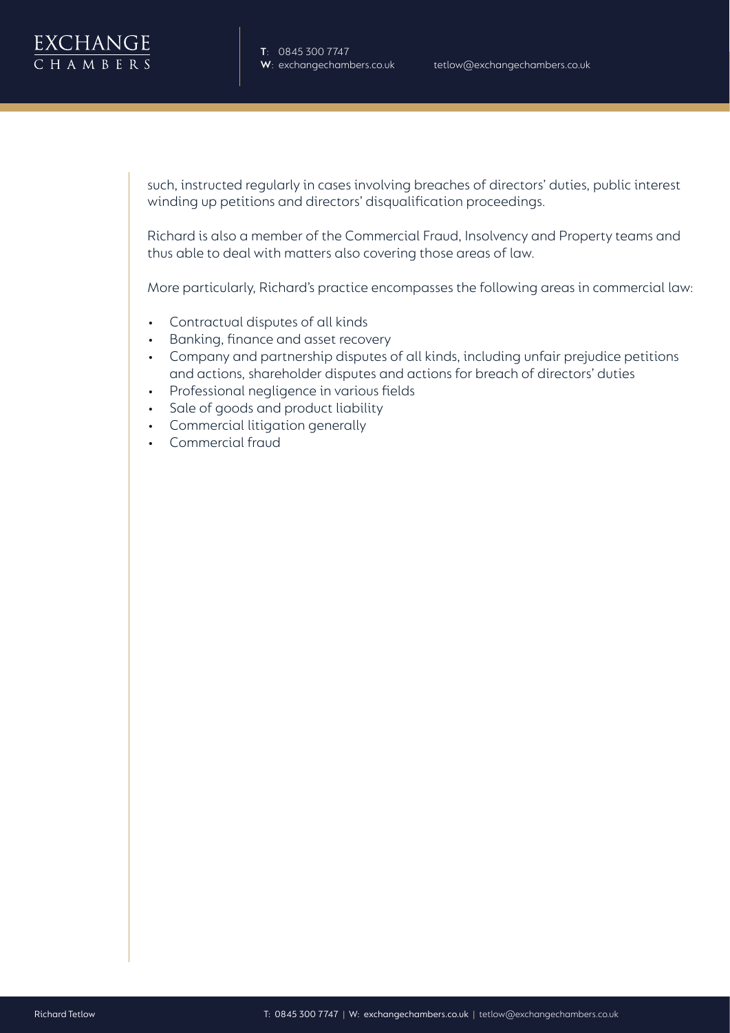

such, instructed regularly in cases involving breaches of directors' duties, public interest winding up petitions and directors' disqualification proceedings.

Richard is also a member of the Commercial Fraud, Insolvency and Property teams and thus able to deal with matters also covering those areas of law.

More particularly, Richard's practice encompasses the following areas in commercial law:

- Contractual disputes of all kinds
- Banking, finance and asset recovery
- Company and partnership disputes of all kinds, including unfair prejudice petitions and actions, shareholder disputes and actions for breach of directors' duties
- Professional negligence in various fields
- Sale of goods and product liability
- Commercial litigation generally
- Commercial fraud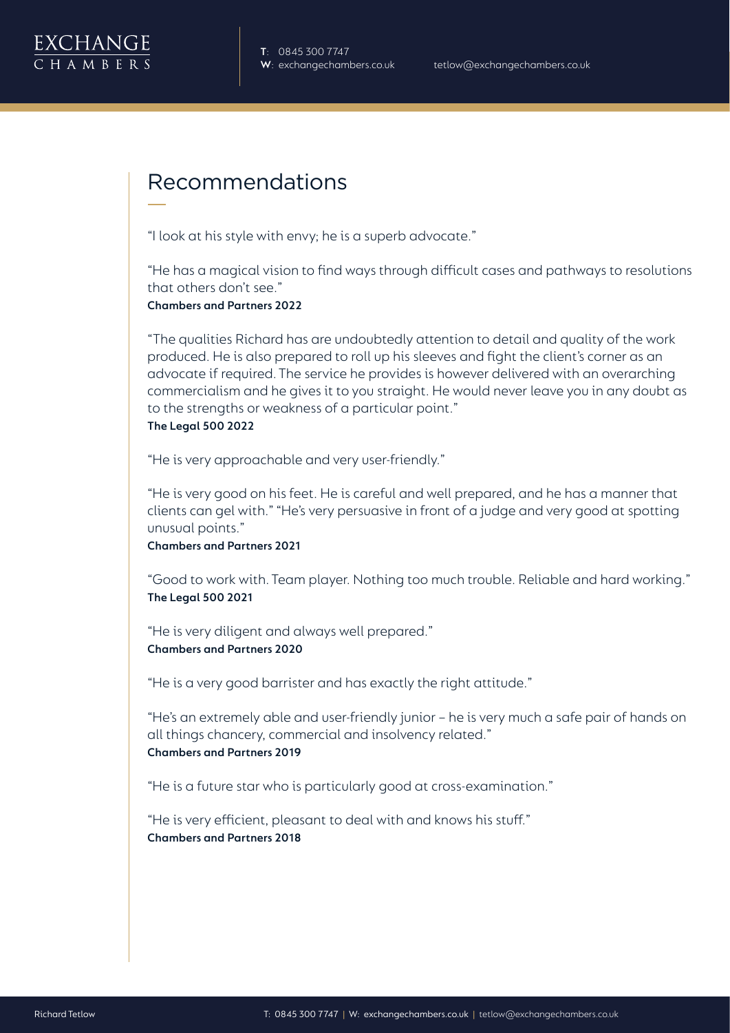

#### Recommendations

"I look at his style with envy; he is a superb advocate."

"He has a magical vision to find ways through difficult cases and pathways to resolutions that others don't see."

**Chambers and Partners 2022**

"The qualities Richard has are undoubtedly attention to detail and quality of the work produced. He is also prepared to roll up his sleeves and fight the client's corner as an advocate if required. The service he provides is however delivered with an overarching commercialism and he gives it to you straight. He would never leave you in any doubt as to the strengths or weakness of a particular point." **The Legal 500 2022**

"He is very approachable and very user-friendly."

"He is very good on his feet. He is careful and well prepared, and he has a manner that clients can gel with." "He's very persuasive in front of a judge and very good at spotting unusual points."

**Chambers and Partners 2021**

"Good to work with. Team player. Nothing too much trouble. Reliable and hard working." **The Legal 500 2021**

"He is very diligent and always well prepared." **Chambers and Partners 2020**

"He is a very good barrister and has exactly the right attitude."

"He's an extremely able and user-friendly junior – he is very much a safe pair of hands on all things chancery, commercial and insolvency related." **Chambers and Partners 2019** 

"He is a future star who is particularly good at cross-examination."

"He is very efficient, pleasant to deal with and knows his stuff." **Chambers and Partners 2018**